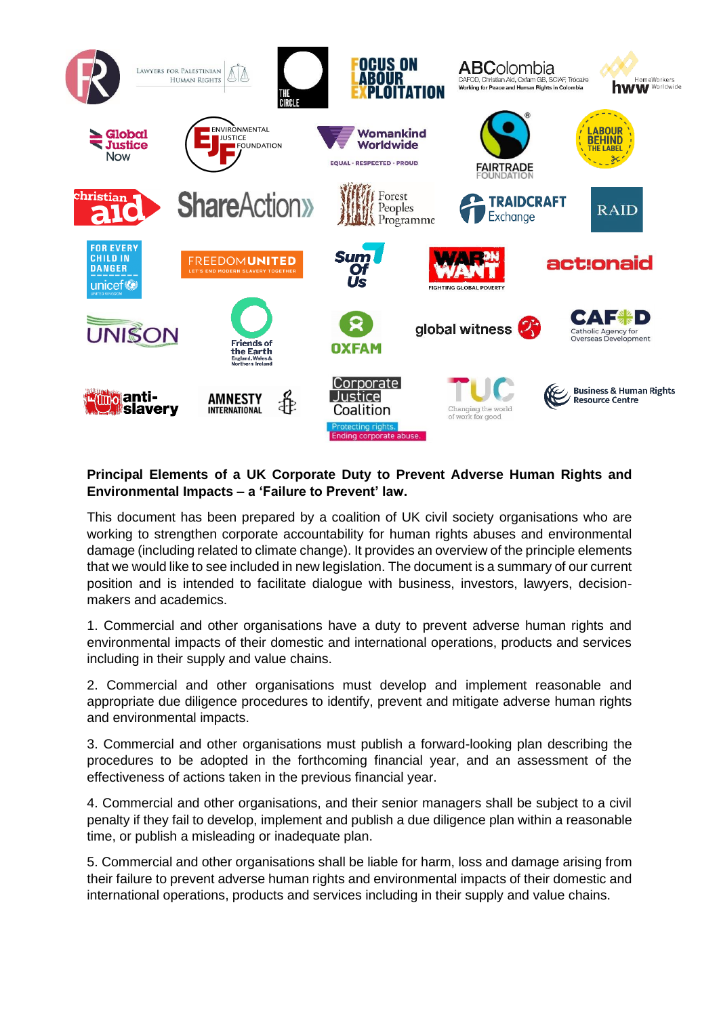

## **Principal Elements of a UK Corporate Duty to Prevent Adverse Human Rights and Environmental Impacts – a 'Failure to Prevent' law.**

This document has been prepared by a coalition of UK civil society organisations who are working to strengthen corporate accountability for human rights abuses and environmental damage (including related to climate change). It provides an overview of the principle elements that we would like to see included in new legislation. The document is a summary of our current position and is intended to facilitate dialogue with business, investors, lawyers, decisionmakers and academics.

1. Commercial and other organisations have a duty to prevent adverse human rights and environmental impacts of their domestic and international operations, products and services including in their supply and value chains.

2. Commercial and other organisations must develop and implement reasonable and appropriate due diligence procedures to identify, prevent and mitigate adverse human rights and environmental impacts.

3. Commercial and other organisations must publish a forward-looking plan describing the procedures to be adopted in the forthcoming financial year, and an assessment of the effectiveness of actions taken in the previous financial year.

4. Commercial and other organisations, and their senior managers shall be subject to a civil penalty if they fail to develop, implement and publish a due diligence plan within a reasonable time, or publish a misleading or inadequate plan.

5. Commercial and other organisations shall be liable for harm, loss and damage arising from their failure to prevent adverse human rights and environmental impacts of their domestic and international operations, products and services including in their supply and value chains.